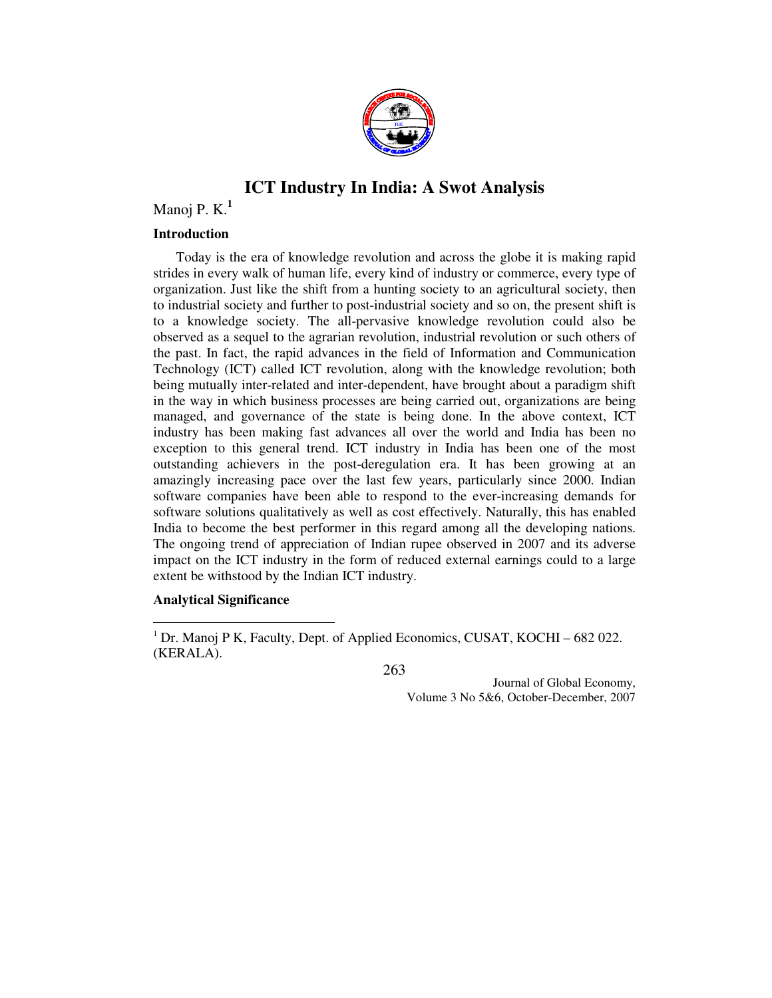

# **ICT Industry In India: A Swot Analysis**

# Manoj P. K.**<sup>1</sup>**

### **Introduction**

Today is the era of knowledge revolution and across the globe it is making rapid strides in every walk of human life, every kind of industry or commerce, every type of organization. Just like the shift from a hunting society to an agricultural society, then to industrial society and further to post-industrial society and so on, the present shift is to a knowledge society. The all-pervasive knowledge revolution could also be observed as a sequel to the agrarian revolution, industrial revolution or such others of the past. In fact, the rapid advances in the field of Information and Communication Technology (ICT) called ICT revolution, along with the knowledge revolution; both being mutually inter-related and inter-dependent, have brought about a paradigm shift in the way in which business processes are being carried out, organizations are being managed, and governance of the state is being done. In the above context, ICT industry has been making fast advances all over the world and India has been no exception to this general trend. ICT industry in India has been one of the most outstanding achievers in the post-deregulation era. It has been growing at an amazingly increasing pace over the last few years, particularly since 2000. Indian software companies have been able to respond to the ever-increasing demands for software solutions qualitatively as well as cost effectively. Naturally, this has enabled India to become the best performer in this regard among all the developing nations. The ongoing trend of appreciation of Indian rupee observed in 2007 and its adverse impact on the ICT industry in the form of reduced external earnings could to a large extent be withstood by the Indian ICT industry.

### **Analytical Significance**

 $\overline{a}$ 

263

<sup>&</sup>lt;sup>1</sup> Dr. Manoj P K, Faculty, Dept. of Applied Economics, CUSAT, KOCHI – 682 022. (KERALA).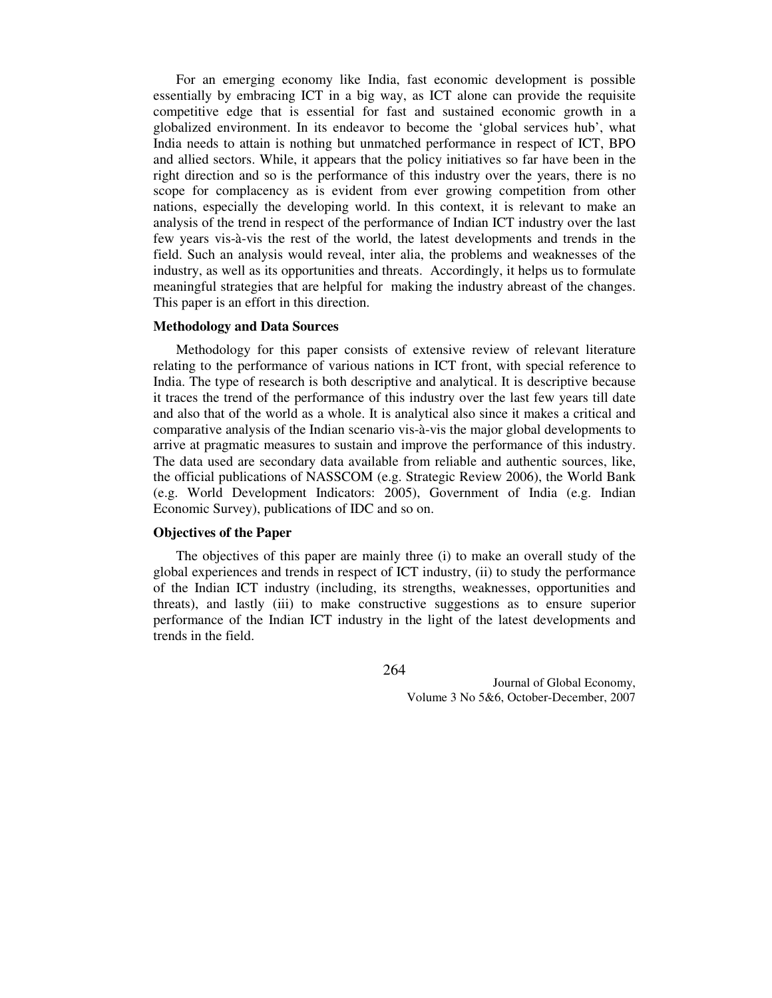For an emerging economy like India, fast economic development is possible essentially by embracing ICT in a big way, as ICT alone can provide the requisite competitive edge that is essential for fast and sustained economic growth in a globalized environment. In its endeavor to become the 'global services hub', what India needs to attain is nothing but unmatched performance in respect of ICT, BPO and allied sectors. While, it appears that the policy initiatives so far have been in the right direction and so is the performance of this industry over the years, there is no scope for complacency as is evident from ever growing competition from other nations, especially the developing world. In this context, it is relevant to make an analysis of the trend in respect of the performance of Indian ICT industry over the last few years vis-à-vis the rest of the world, the latest developments and trends in the field. Such an analysis would reveal, inter alia, the problems and weaknesses of the industry, as well as its opportunities and threats. Accordingly, it helps us to formulate meaningful strategies that are helpful for making the industry abreast of the changes. This paper is an effort in this direction.

#### **Methodology and Data Sources**

Methodology for this paper consists of extensive review of relevant literature relating to the performance of various nations in ICT front, with special reference to India. The type of research is both descriptive and analytical. It is descriptive because it traces the trend of the performance of this industry over the last few years till date and also that of the world as a whole. It is analytical also since it makes a critical and comparative analysis of the Indian scenario vis-à-vis the major global developments to arrive at pragmatic measures to sustain and improve the performance of this industry. The data used are secondary data available from reliable and authentic sources, like, the official publications of NASSCOM (e.g. Strategic Review 2006), the World Bank (e.g. World Development Indicators: 2005), Government of India (e.g. Indian Economic Survey), publications of IDC and so on.

### **Objectives of the Paper**

The objectives of this paper are mainly three (i) to make an overall study of the global experiences and trends in respect of ICT industry, (ii) to study the performance of the Indian ICT industry (including, its strengths, weaknesses, opportunities and threats), and lastly (iii) to make constructive suggestions as to ensure superior performance of the Indian ICT industry in the light of the latest developments and trends in the field.

264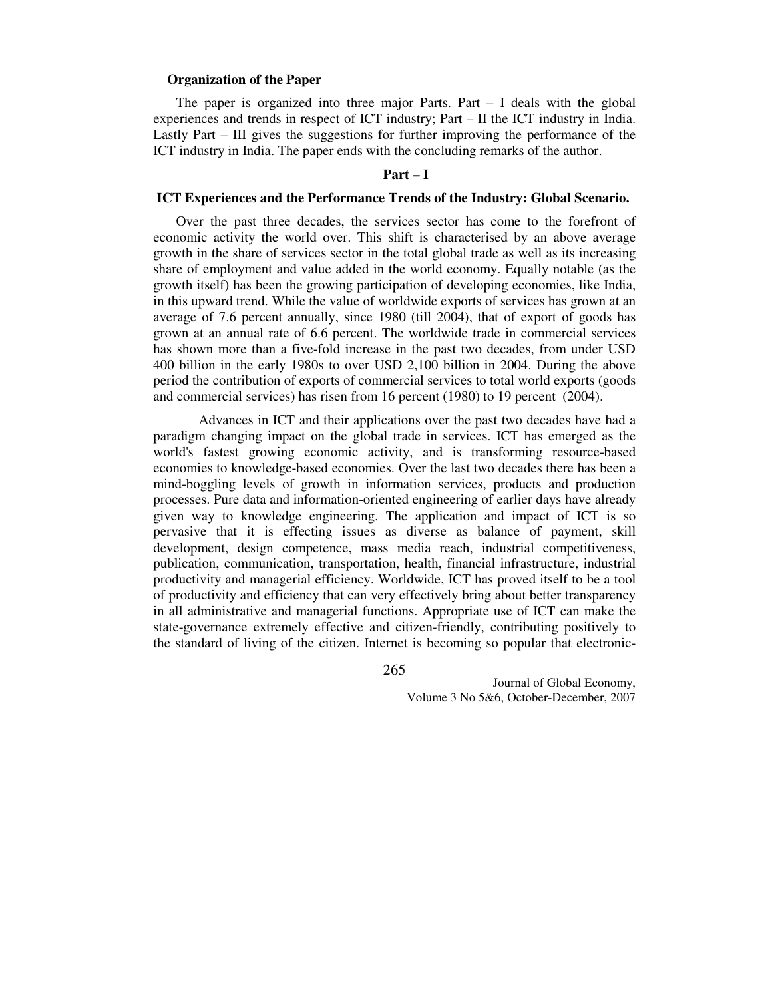#### **Organization of the Paper**

The paper is organized into three major Parts. Part – I deals with the global experiences and trends in respect of ICT industry; Part – II the ICT industry in India. Lastly Part – III gives the suggestions for further improving the performance of the ICT industry in India. The paper ends with the concluding remarks of the author.

#### **Part – I**

#### **ICT Experiences and the Performance Trends of the Industry: Global Scenario.**

Over the past three decades, the services sector has come to the forefront of economic activity the world over. This shift is characterised by an above average growth in the share of services sector in the total global trade as well as its increasing share of employment and value added in the world economy. Equally notable (as the growth itself) has been the growing participation of developing economies, like India, in this upward trend. While the value of worldwide exports of services has grown at an average of 7.6 percent annually, since 1980 (till 2004), that of export of goods has grown at an annual rate of 6.6 percent. The worldwide trade in commercial services has shown more than a five-fold increase in the past two decades, from under USD 400 billion in the early 1980s to over USD 2,100 billion in 2004. During the above period the contribution of exports of commercial services to total world exports (goods and commercial services) has risen from 16 percent (1980) to 19 percent (2004).

 Advances in ICT and their applications over the past two decades have had a paradigm changing impact on the global trade in services. ICT has emerged as the world's fastest growing economic activity, and is transforming resource-based economies to knowledge-based economies. Over the last two decades there has been a mind-boggling levels of growth in information services, products and production processes. Pure data and information-oriented engineering of earlier days have already given way to knowledge engineering. The application and impact of ICT is so pervasive that it is effecting issues as diverse as balance of payment, skill development, design competence, mass media reach, industrial competitiveness, publication, communication, transportation, health, financial infrastructure, industrial productivity and managerial efficiency. Worldwide, ICT has proved itself to be a tool of productivity and efficiency that can very effectively bring about better transparency in all administrative and managerial functions. Appropriate use of ICT can make the state-governance extremely effective and citizen-friendly, contributing positively to the standard of living of the citizen. Internet is becoming so popular that electronic-

265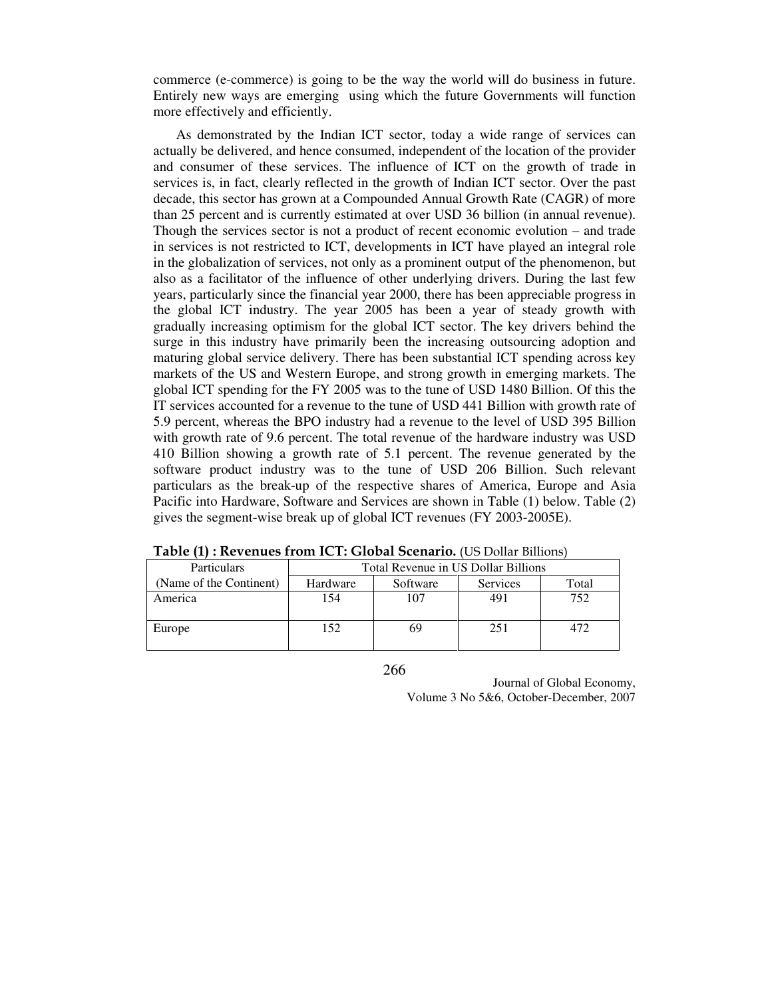commerce (e-commerce) is going to be the way the world will do business in future. Entirely new ways are emerging using which the future Governments will function more effectively and efficiently.

As demonstrated by the Indian ICT sector, today a wide range of services can actually be delivered, and hence consumed, independent of the location of the provider and consumer of these services. The influence of ICT on the growth of trade in services is, in fact, clearly reflected in the growth of Indian ICT sector. Over the past decade, this sector has grown at a Compounded Annual Growth Rate (CAGR) of more than 25 percent and is currently estimated at over USD 36 billion (in annual revenue). Though the services sector is not a product of recent economic evolution – and trade in services is not restricted to ICT, developments in ICT have played an integral role in the globalization of services, not only as a prominent output of the phenomenon, but also as a facilitator of the influence of other underlying drivers. During the last few years, particularly since the financial year 2000, there has been appreciable progress in the global ICT industry. The year 2005 has been a year of steady growth with gradually increasing optimism for the global ICT sector. The key drivers behind the surge in this industry have primarily been the increasing outsourcing adoption and maturing global service delivery. There has been substantial ICT spending across key markets of the US and Western Europe, and strong growth in emerging markets. The global ICT spending for the FY 2005 was to the tune of USD 1480 Billion. Of this the IT services accounted for a revenue to the tune of USD 441 Billion with growth rate of 5.9 percent, whereas the BPO industry had a revenue to the level of USD 395 Billion with growth rate of 9.6 percent. The total revenue of the hardware industry was USD 410 Billion showing a growth rate of 5.1 percent. The revenue generated by the software product industry was to the tune of USD 206 Billion. Such relevant particulars as the break-up of the respective shares of America, Europe and Asia Pacific into Hardware, Software and Services are shown in Table (1) below. Table (2) gives the segment-wise break up of global ICT revenues (FY 2003-2005E).

| Particulars             | Total Revenue in US Dollar Billions |          |          |       |  |  |
|-------------------------|-------------------------------------|----------|----------|-------|--|--|
| (Name of the Continent) | Hardware                            | Software | Services | Total |  |  |
| America                 | 154                                 | 107      | 491      | 752   |  |  |
| Europe                  | 152                                 | 69       | 251      | 472   |  |  |

Table (1) : Revenues from ICT: Global Scenario. (US Dollar Billions)

266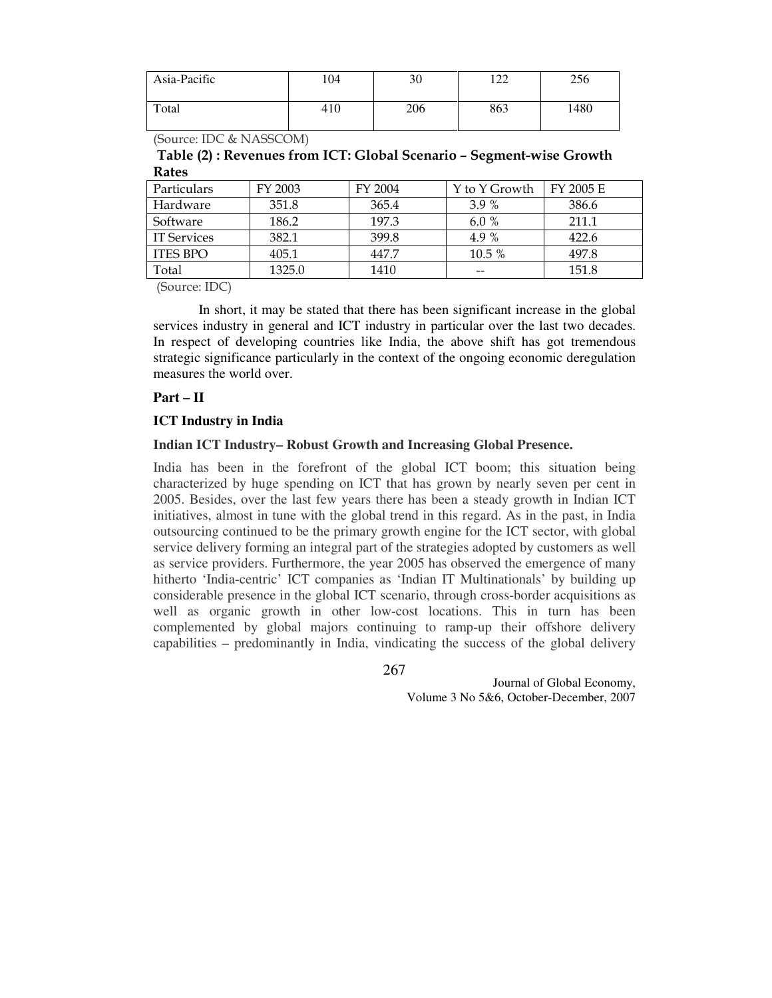| Asia-Pacific | 104 | 30  | $\Omega$<br>∠∠ | 256  |
|--------------|-----|-----|----------------|------|
| Total        | 410 | 206 | 863            | 1480 |

(Source: IDC & NASSCOM)

Table (2) : Revenues from ICT: Global Scenario – Segment-wise Growth Rates

| Particulars     | FY 2003 | FY 2004 | Y to Y Growth | FY 2005 E |
|-----------------|---------|---------|---------------|-----------|
| Hardware        | 351.8   | 365.4   | 3.9%          | 386.6     |
| Software        | 186.2   | 197.3   | 6.0 $%$       | 211.1     |
| IT Services     | 382.1   | 399.8   | 4.9 %         | 422.6     |
| <b>ITES BPO</b> | 405.1   | 447.7   | 10.5 %        | 497.8     |
| Total           | 1325.0  | 1410    | --            | 151.8     |

(Source: IDC)

In short, it may be stated that there has been significant increase in the global services industry in general and ICT industry in particular over the last two decades. In respect of developing countries like India, the above shift has got tremendous strategic significance particularly in the context of the ongoing economic deregulation measures the world over.

#### **Part – II**

### **ICT Industry in India**

### **Indian ICT Industry– Robust Growth and Increasing Global Presence.**

India has been in the forefront of the global ICT boom; this situation being characterized by huge spending on ICT that has grown by nearly seven per cent in 2005. Besides, over the last few years there has been a steady growth in Indian ICT initiatives, almost in tune with the global trend in this regard. As in the past, in India outsourcing continued to be the primary growth engine for the ICT sector, with global service delivery forming an integral part of the strategies adopted by customers as well as service providers. Furthermore, the year 2005 has observed the emergence of many hitherto 'India-centric' ICT companies as 'Indian IT Multinationals' by building up considerable presence in the global ICT scenario, through cross-border acquisitions as well as organic growth in other low-cost locations. This in turn has been complemented by global majors continuing to ramp-up their offshore delivery capabilities – predominantly in India, vindicating the success of the global delivery

267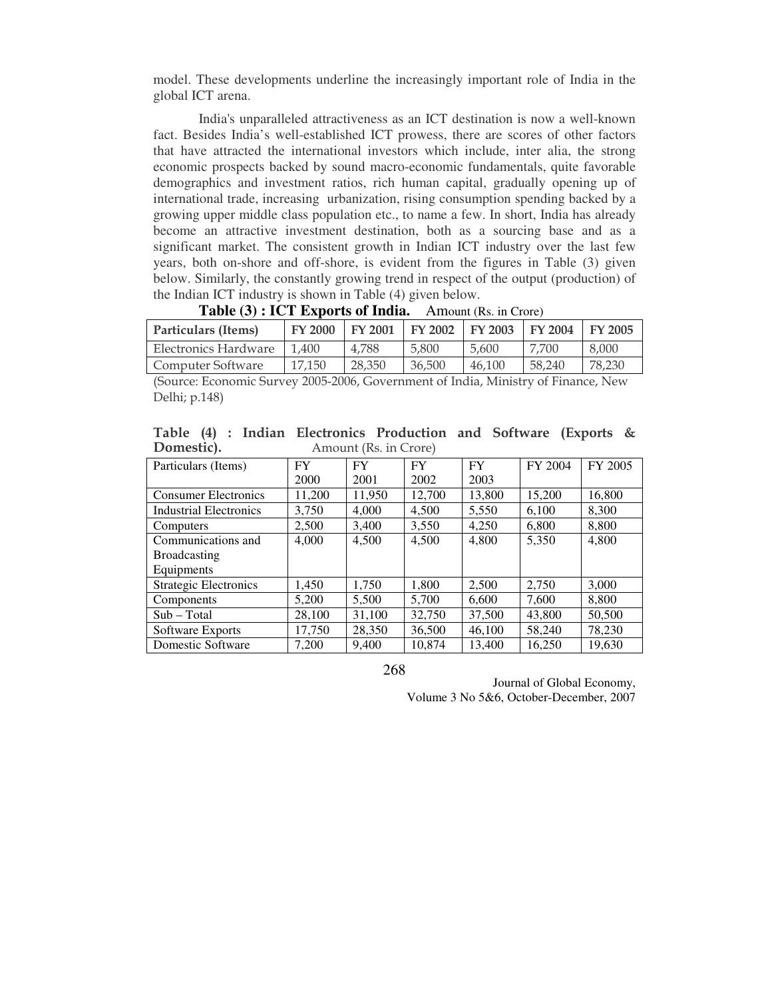model. These developments underline the increasingly important role of India in the global ICT arena.

India's unparalleled attractiveness as an ICT destination is now a well-known fact. Besides India's well-established ICT prowess, there are scores of other factors that have attracted the international investors which include, inter alia, the strong economic prospects backed by sound macro-economic fundamentals, quite favorable demographics and investment ratios, rich human capital, gradually opening up of international trade, increasing urbanization, rising consumption spending backed by a growing upper middle class population etc., to name a few. In short, India has already become an attractive investment destination, both as a sourcing base and as a significant market. The consistent growth in Indian ICT industry over the last few years, both on-shore and off-shore, is evident from the figures in Table (3) given below. Similarly, the constantly growing trend in respect of the output (production) of the Indian ICT industry is shown in Table (4) given below.

| Particulars (Items)  | <b>FY 2000</b> | FY 2001 | FY 2002 | <b>FY 2003</b> | <b>FY 2004</b> | <b>FY 2005</b> |
|----------------------|----------------|---------|---------|----------------|----------------|----------------|
| Electronics Hardware | 1.400          | 4.788   | 5,800   | 5.600          | 7.700          | 8,000          |
| Computer Software    | 17.150         | 28,350  | 36,500  | 46.100         | 58,240         | 78,230         |
| $\sim$               | ---------      |         |         |                |                |                |

| Table (3) : ICT Exports of India. | Amount (Rs. in Crore) |
|-----------------------------------|-----------------------|
|-----------------------------------|-----------------------|

(Source: Economic Survey 2005-2006, Government of India, Ministry of Finance, New Delhi; p.148)

|            |  |  | Table (4) : Indian Electronics Production and Software (Exports & |  |  |
|------------|--|--|-------------------------------------------------------------------|--|--|
| Domestic). |  |  | Amount (Rs. in Crore)                                             |  |  |

| Particulars (Items)           | FY     | <b>FY</b> | <b>FY</b> | FY.    | FY 2004 | FY 2005 |
|-------------------------------|--------|-----------|-----------|--------|---------|---------|
|                               | 2000   | 2001      | 2002      | 2003   |         |         |
| <b>Consumer Electronics</b>   | 11,200 | 11,950    | 12,700    | 13,800 | 15,200  | 16,800  |
| <b>Industrial Electronics</b> | 3,750  | 4.000     | 4,500     | 5,550  | 6,100   | 8,300   |
| Computers                     | 2,500  | 3,400     | 3,550     | 4,250  | 6,800   | 8,800   |
| Communications and            | 4,000  | 4,500     | 4,500     | 4,800  | 5,350   | 4,800   |
| <b>Broadcasting</b>           |        |           |           |        |         |         |
| Equipments                    |        |           |           |        |         |         |
| <b>Strategic Electronics</b>  | 1,450  | 1,750     | 1,800     | 2,500  | 2,750   | 3,000   |
| Components                    | 5,200  | 5.500     | 5.700     | 6,600  | 7.600   | 8,800   |
| $Sub - Total$                 | 28,100 | 31,100    | 32,750    | 37,500 | 43,800  | 50,500  |
| Software Exports              | 17,750 | 28,350    | 36,500    | 46,100 | 58,240  | 78,230  |
| Domestic Software             | 7,200  | 9,400     | 10,874    | 13,400 | 16,250  | 19,630  |

268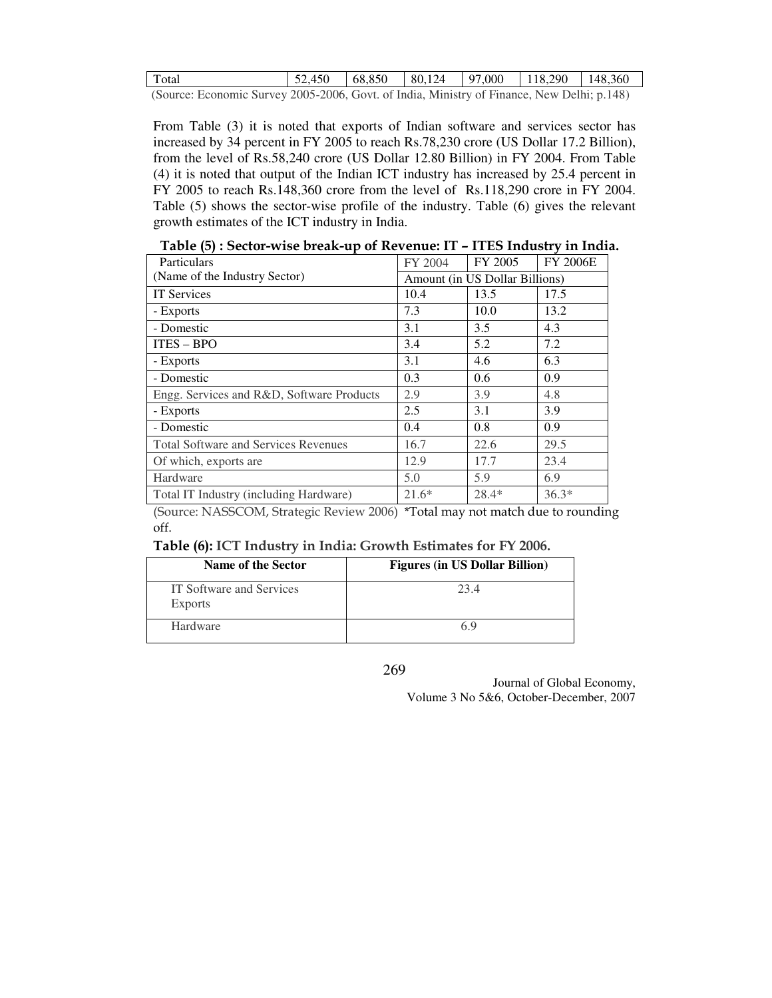| Total                                  | 52.450 |  |  |  | $\mid 68,850 \mid 80,124 \mid 97,000 \mid 118,290 \mid 148,360$ |  |
|----------------------------------------|--------|--|--|--|-----------------------------------------------------------------|--|
| $(0, \ldots, n, \ldots, 0, \ldots, 0)$ |        |  |  |  |                                                                 |  |

(Source: Economic Survey 2005-2006, Govt. of India, Ministry of Finance, New Delhi; p.148)

From Table (3) it is noted that exports of Indian software and services sector has increased by 34 percent in FY 2005 to reach Rs.78,230 crore (US Dollar 17.2 Billion), from the level of Rs.58,240 crore (US Dollar 12.80 Billion) in FY 2004. From Table (4) it is noted that output of the Indian ICT industry has increased by 25.4 percent in FY 2005 to reach Rs.148,360 crore from the level of Rs.118,290 crore in FY 2004. Table (5) shows the sector-wise profile of the industry. Table (6) gives the relevant growth estimates of the ICT industry in India.

| Particulars                                 | FY 2004                        | FY 2005 | <b>FY 2006E</b> |  |
|---------------------------------------------|--------------------------------|---------|-----------------|--|
| (Name of the Industry Sector)               | Amount (in US Dollar Billions) |         |                 |  |
| <b>IT Services</b>                          | 10.4                           | 13.5    | 17.5            |  |
| - Exports                                   | 7.3                            | 10.0    | 13.2            |  |
| - Domestic                                  | 3.1                            | 3.5     | 4.3             |  |
| $ITES - BPO$                                | 3.4                            | 5.2     | 7.2             |  |
| - Exports                                   | 3.1                            | 4.6     | 6.3             |  |
| - Domestic                                  | 0.3                            | 0.6     | 0.9             |  |
| Engg. Services and R&D, Software Products   | 2.9                            | 3.9     | 4.8             |  |
| - Exports                                   | 2.5                            | 3.1     | 3.9             |  |
| - Domestic                                  | 0.4                            | 0.8     | 0.9             |  |
| <b>Total Software and Services Revenues</b> | 16.7                           | 22.6    | 29.5            |  |
| Of which, exports are                       | 12.9                           | 17.7    | 23.4            |  |
| Hardware                                    | 5.0                            | 5.9     | 6.9             |  |
| Total IT Industry (including Hardware)      | $21.6*$                        | $28.4*$ | $36.3*$         |  |

Table (5) : Sector-wise break-up of Revenue: IT – ITES Industry in India.

(Source: NASSCOM, Strategic Review 2006) \*Total may not match due to rounding off.

#### Table (6): ICT Industry in India: Growth Estimates for FY 2006.

| Name of the Sector                         | <b>Figures (in US Dollar Billion)</b> |
|--------------------------------------------|---------------------------------------|
| IT Software and Services<br><b>Exports</b> | 23.4                                  |
| Hardware                                   | 6 9                                   |

269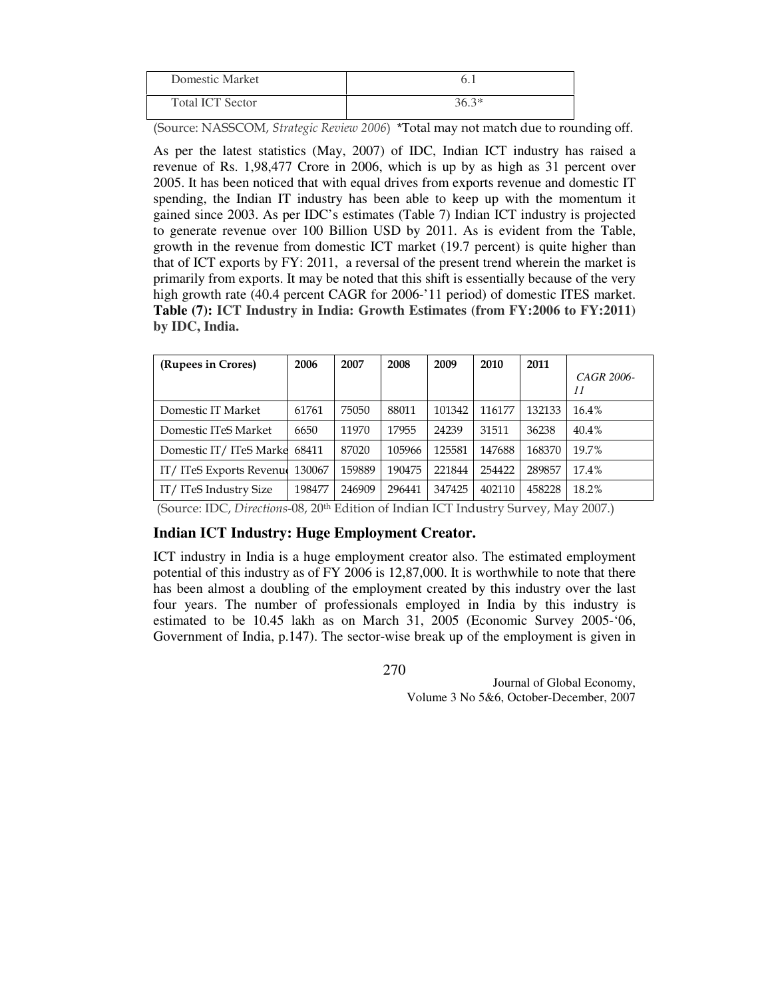| Domestic Market         |       |
|-------------------------|-------|
| <b>Total ICT Sector</b> | 36.3* |

(Source: NASSCOM, Strategic Review 2006) \*Total may not match due to rounding off.

As per the latest statistics (May, 2007) of IDC, Indian ICT industry has raised a revenue of Rs. 1,98,477 Crore in 2006, which is up by as high as 31 percent over 2005. It has been noticed that with equal drives from exports revenue and domestic IT spending, the Indian IT industry has been able to keep up with the momentum it gained since 2003. As per IDC's estimates (Table 7) Indian ICT industry is projected to generate revenue over 100 Billion USD by 2011. As is evident from the Table, growth in the revenue from domestic ICT market (19.7 percent) is quite higher than that of ICT exports by FY: 2011, a reversal of the present trend wherein the market is primarily from exports. It may be noted that this shift is essentially because of the very high growth rate (40.4 percent CAGR for 2006-'11 period) of domestic ITES market. **Table (7): ICT Industry in India: Growth Estimates (from FY:2006 to FY:2011) by IDC, India.** 

| (Rupees in Crores)       | 2006   | 2007   | 2008   | 2009   | 2010   | 2011   |                  |
|--------------------------|--------|--------|--------|--------|--------|--------|------------------|
|                          |        |        |        |        |        |        | CAGR 2006-<br>11 |
| Domestic IT Market       | 61761  | 75050  | 88011  | 101342 | 116177 | 132133 | $16.4\%$         |
| Domestic ITeS Market     | 6650   | 11970  | 17955  | 24239  | 31511  | 36238  | 40.4%            |
| Domestic IT/ITeS Marke   | 68411  | 87020  | 105966 | 125581 | 147688 | 168370 | 19.7%            |
| IT/ ITeS Exports Revenue | 130067 | 159889 | 190475 | 221844 | 254422 | 289857 | 17.4%            |
| IT/ITeS Industry Size    | 198477 | 246909 | 296441 | 347425 | 402110 | 458228 | 18.2%            |

(Source: IDC, Directions-08, 20th Edition of Indian ICT Industry Survey, May 2007.)

### **Indian ICT Industry: Huge Employment Creator.**

ICT industry in India is a huge employment creator also. The estimated employment potential of this industry as of FY 2006 is 12,87,000. It is worthwhile to note that there has been almost a doubling of the employment created by this industry over the last four years. The number of professionals employed in India by this industry is estimated to be 10.45 lakh as on March 31, 2005 (Economic Survey 2005-'06, Government of India, p.147). The sector-wise break up of the employment is given in

270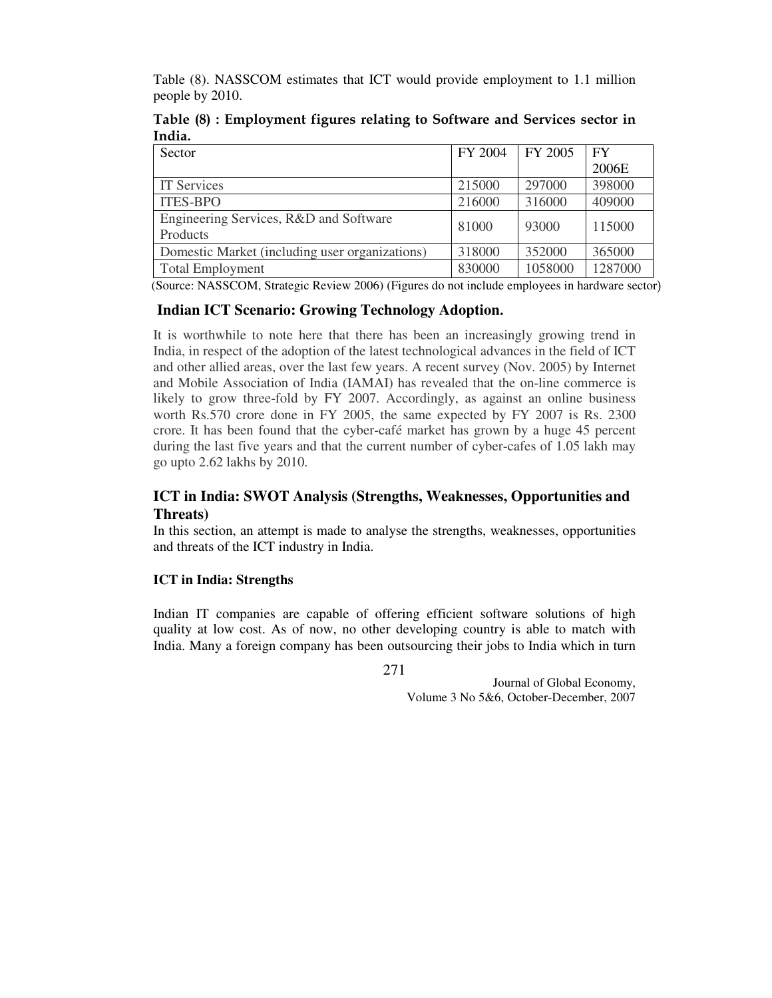Table (8). NASSCOM estimates that ICT would provide employment to 1.1 million people by 2010.

|        | Table (8) : Employment figures relating to Software and Services sector in |  |  |
|--------|----------------------------------------------------------------------------|--|--|
| India. |                                                                            |  |  |

| Sector                                         | FY 2004 | FY 2005 | <b>FY</b> |
|------------------------------------------------|---------|---------|-----------|
|                                                |         |         | 2006E     |
| <b>IT Services</b>                             | 215000  | 297000  | 398000    |
| <b>ITES-BPO</b>                                | 216000  | 316000  | 409000    |
| Engineering Services, R&D and Software         | 81000   | 93000   | 115000    |
| Products                                       |         |         |           |
| Domestic Market (including user organizations) | 318000  | 352000  | 365000    |
| <b>Total Employment</b>                        | 830000  | 1058000 | 1287000   |

(Source: NASSCOM, Strategic Review 2006) (Figures do not include employees in hardware sector)

### **Indian ICT Scenario: Growing Technology Adoption**.

It is worthwhile to note here that there has been an increasingly growing trend in India, in respect of the adoption of the latest technological advances in the field of ICT and other allied areas, over the last few years. A recent survey (Nov. 2005) by Internet and Mobile Association of India (IAMAI) has revealed that the on-line commerce is likely to grow three-fold by FY 2007. Accordingly, as against an online business worth Rs.570 crore done in FY 2005, the same expected by FY 2007 is Rs. 2300 crore. It has been found that the cyber-café market has grown by a huge 45 percent during the last five years and that the current number of cyber-cafes of 1.05 lakh may go upto 2.62 lakhs by 2010.

# **ICT in India: SWOT Analysis (Strengths, Weaknesses, Opportunities and Threats)**

In this section, an attempt is made to analyse the strengths, weaknesses, opportunities and threats of the ICT industry in India.

### **ICT in India: Strengths**

Indian IT companies are capable of offering efficient software solutions of high quality at low cost. As of now, no other developing country is able to match with India. Many a foreign company has been outsourcing their jobs to India which in turn

271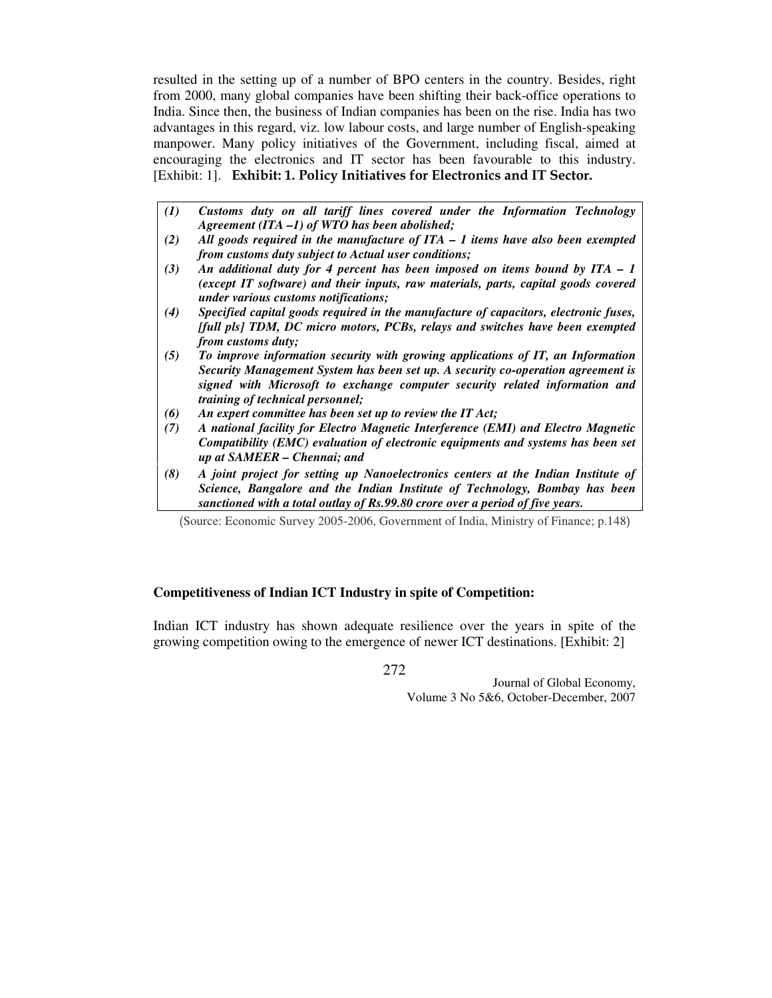resulted in the setting up of a number of BPO centers in the country. Besides, right from 2000, many global companies have been shifting their back-office operations to India. Since then, the business of Indian companies has been on the rise. India has two advantages in this regard, viz. low labour costs, and large number of English-speaking manpower. Many policy initiatives of the Government, including fiscal, aimed at encouraging the electronics and IT sector has been favourable to this industry. [Exhibit: 1]. Exhibit: 1. Policy Initiatives for Electronics and IT Sector.

- *(1) Customs duty on all tariff lines covered under the Information Technology Agreement (ITA –1) of WTO has been abolished;*
- *(2) All goods required in the manufacture of ITA 1 items have also been exempted from customs duty subject to Actual user conditions;*
- *(3) An additional duty for 4 percent has been imposed on items bound by ITA 1 (except IT software) and their inputs, raw materials, parts, capital goods covered under various customs notifications;*
- *(4) Specified capital goods required in the manufacture of capacitors, electronic fuses, [full pls] TDM, DC micro motors, PCBs, relays and switches have been exempted from customs duty;*
- *(5) To improve information security with growing applications of IT, an Information Security Management System has been set up. A security co-operation agreement is signed with Microsoft to exchange computer security related information and training of technical personnel;*
- *(6) An expert committee has been set up to review the IT Act;*
- *(7) A national facility for Electro Magnetic Interference (EMI) and Electro Magnetic Compatibility (EMC) evaluation of electronic equipments and systems has been set up at SAMEER – Chennai; and*
- *(8) A joint project for setting up Nanoelectronics centers at the Indian Institute of Science, Bangalore and the Indian Institute of Technology, Bombay has been sanctioned with a total outlay of Rs.99.80 crore over a period of five years.*

(Source: Economic Survey 2005-2006, Government of India, Ministry of Finance; p.148)

### **Competitiveness of Indian ICT Industry in spite of Competition:**

Indian ICT industry has shown adequate resilience over the years in spite of the growing competition owing to the emergence of newer ICT destinations. [Exhibit: 2]

272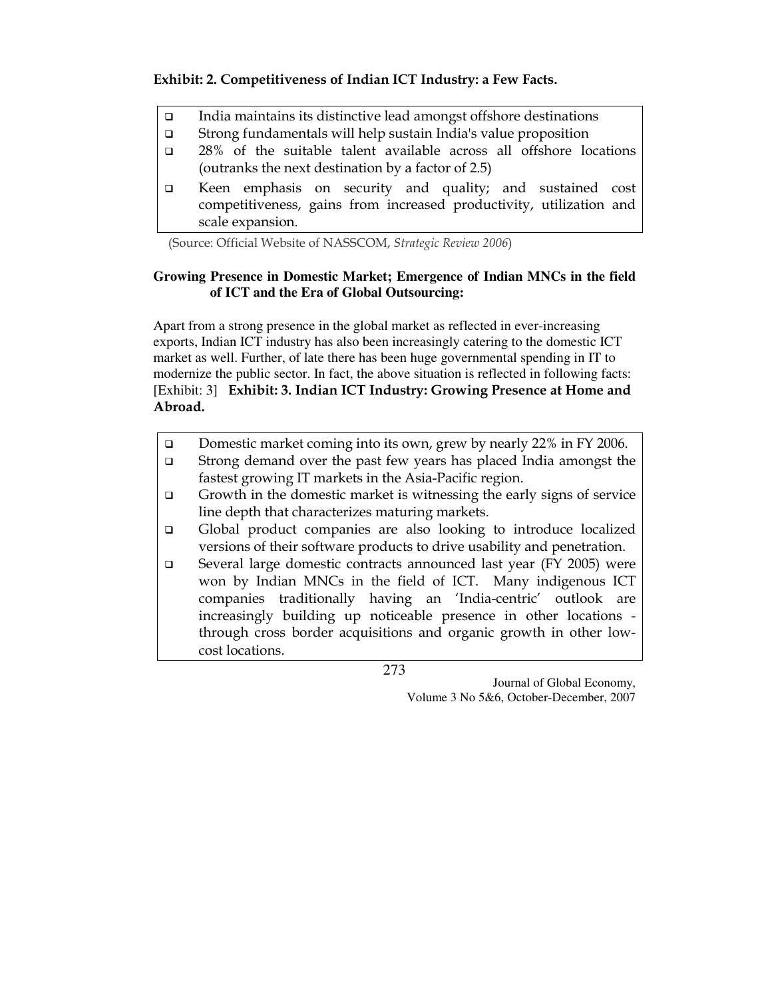# Exhibit: 2. Competitiveness of Indian ICT Industry: a Few Facts.

- □ India maintains its distinctive lead amongst offshore destinations
- Strong fundamentals will help sustain India's value proposition
- 28% of the suitable talent available across all offshore locations (outranks the next destination by a factor of 2.5)
- Keen emphasis on security and quality; and sustained cost competitiveness, gains from increased productivity, utilization and scale expansion.

(Source: Official Website of NASSCOM, Strategic Review 2006)

# **Growing Presence in Domestic Market; Emergence of Indian MNCs in the field of ICT and the Era of Global Outsourcing:**

Apart from a strong presence in the global market as reflected in ever-increasing exports, Indian ICT industry has also been increasingly catering to the domestic ICT market as well. Further, of late there has been huge governmental spending in IT to modernize the public sector. In fact, the above situation is reflected in following facts: [Exhibit: 3] Exhibit: 3. Indian ICT Industry: Growing Presence at Home and Abroad.

- □ Domestic market coming into its own, grew by nearly 22% in FY 2006.
- Strong demand over the past few years has placed India amongst the fastest growing IT markets in the Asia-Pacific region.
- $\Box$  Growth in the domestic market is witnessing the early signs of service line depth that characterizes maturing markets.
- Global product companies are also looking to introduce localized versions of their software products to drive usability and penetration.
- Several large domestic contracts announced last year (FY 2005) were won by Indian MNCs in the field of ICT. Many indigenous ICT companies traditionally having an 'India-centric' outlook are increasingly building up noticeable presence in other locations through cross border acquisitions and organic growth in other lowcost locations.

273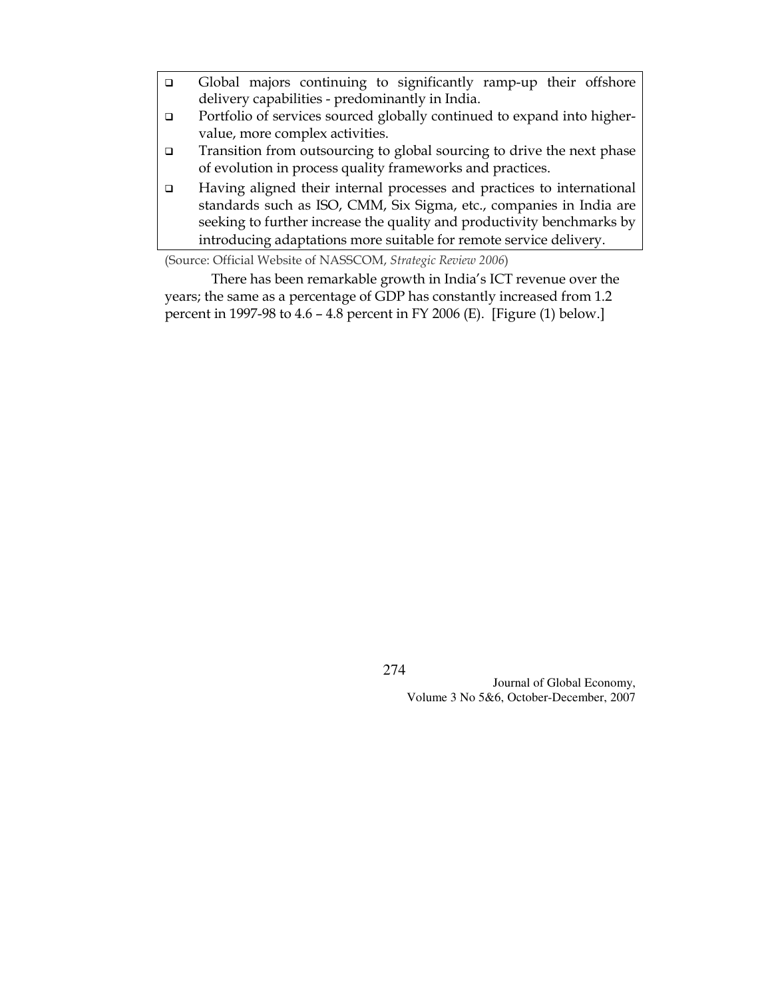- Global majors continuing to significantly ramp-up their offshore delivery capabilities - predominantly in India.
- □ Portfolio of services sourced globally continued to expand into highervalue, more complex activities.
- Transition from outsourcing to global sourcing to drive the next phase of evolution in process quality frameworks and practices.
- Having aligned their internal processes and practices to international standards such as ISO, CMM, Six Sigma, etc., companies in India are seeking to further increase the quality and productivity benchmarks by introducing adaptations more suitable for remote service delivery.

(Source: Official Website of NASSCOM, Strategic Review 2006)

 There has been remarkable growth in India's ICT revenue over the years; the same as a percentage of GDP has constantly increased from 1.2 percent in 1997-98 to 4.6 – 4.8 percent in FY 2006 (E). [Figure (1) below.]

274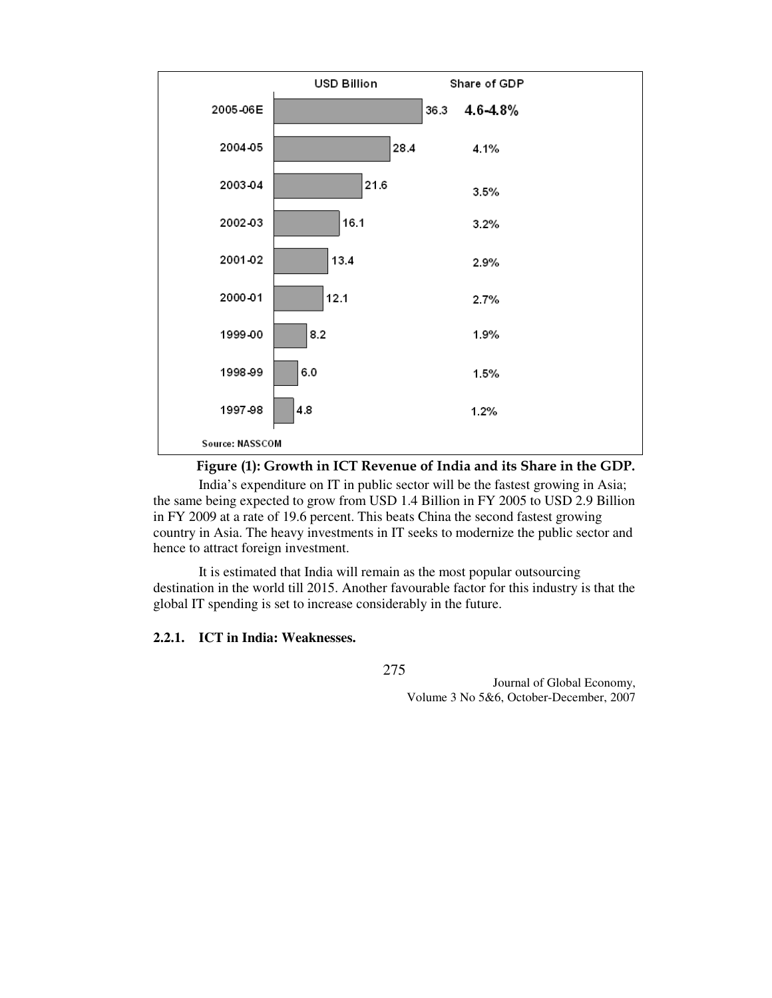

Figure (1): Growth in ICT Revenue of India and its Share in the GDP.

India's expenditure on IT in public sector will be the fastest growing in Asia; the same being expected to grow from USD 1.4 Billion in FY 2005 to USD 2.9 Billion in FY 2009 at a rate of 19.6 percent. This beats China the second fastest growing country in Asia. The heavy investments in IT seeks to modernize the public sector and hence to attract foreign investment.

It is estimated that India will remain as the most popular outsourcing destination in the world till 2015. Another favourable factor for this industry is that the global IT spending is set to increase considerably in the future.

### **2.2.1. ICT in India: Weaknesses.**

275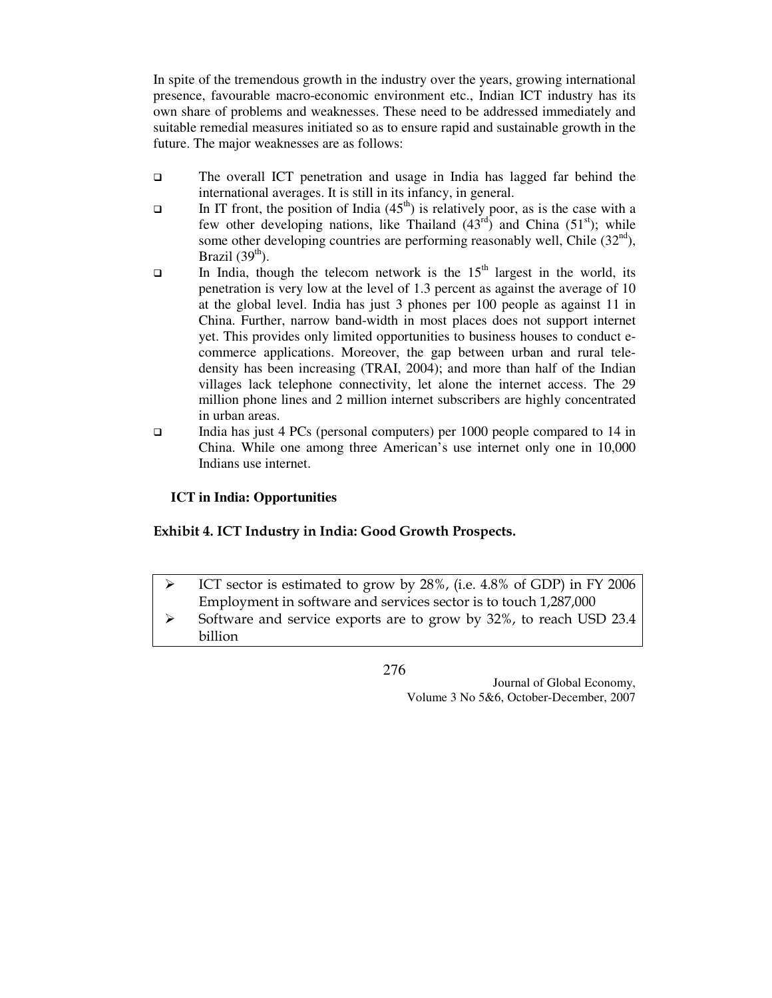In spite of the tremendous growth in the industry over the years, growing international presence, favourable macro-economic environment etc., Indian ICT industry has its own share of problems and weaknesses. These need to be addressed immediately and suitable remedial measures initiated so as to ensure rapid and sustainable growth in the future. The major weaknesses are as follows:

- The overall ICT penetration and usage in India has lagged far behind the international averages. It is still in its infancy, in general.
- In IT front, the position of India  $(45<sup>th</sup>)$  is relatively poor, as is the case with a few other developing nations, like Thailand  $(43<sup>rd</sup>)$  and China  $(51<sup>st</sup>)$ ; while some other developing countries are performing reasonably well, Chile  $(32<sup>nd</sup>)$ , Brazil  $(39<sup>th</sup>)$ .
- In India, though the telecom network is the  $15<sup>th</sup>$  largest in the world, its penetration is very low at the level of 1.3 percent as against the average of 10 at the global level. India has just 3 phones per 100 people as against 11 in China. Further, narrow band-width in most places does not support internet yet. This provides only limited opportunities to business houses to conduct ecommerce applications. Moreover, the gap between urban and rural teledensity has been increasing (TRAI, 2004); and more than half of the Indian villages lack telephone connectivity, let alone the internet access. The 29 million phone lines and 2 million internet subscribers are highly concentrated in urban areas.
- India has just 4 PCs (personal computers) per 1000 people compared to 14 in China. While one among three American's use internet only one in 10,000 Indians use internet.

### **ICT in India: Opportunities**

### Exhibit 4. ICT Industry in India: Good Growth Prospects.

- $\blacktriangleright$  ICT sector is estimated to grow by 28%, (i.e. 4.8% of GDP) in FY 2006 Employment in software and services sector is to touch 1,287,000
- $\blacktriangleright$  Software and service exports are to grow by 32%, to reach USD 23.4 billion

276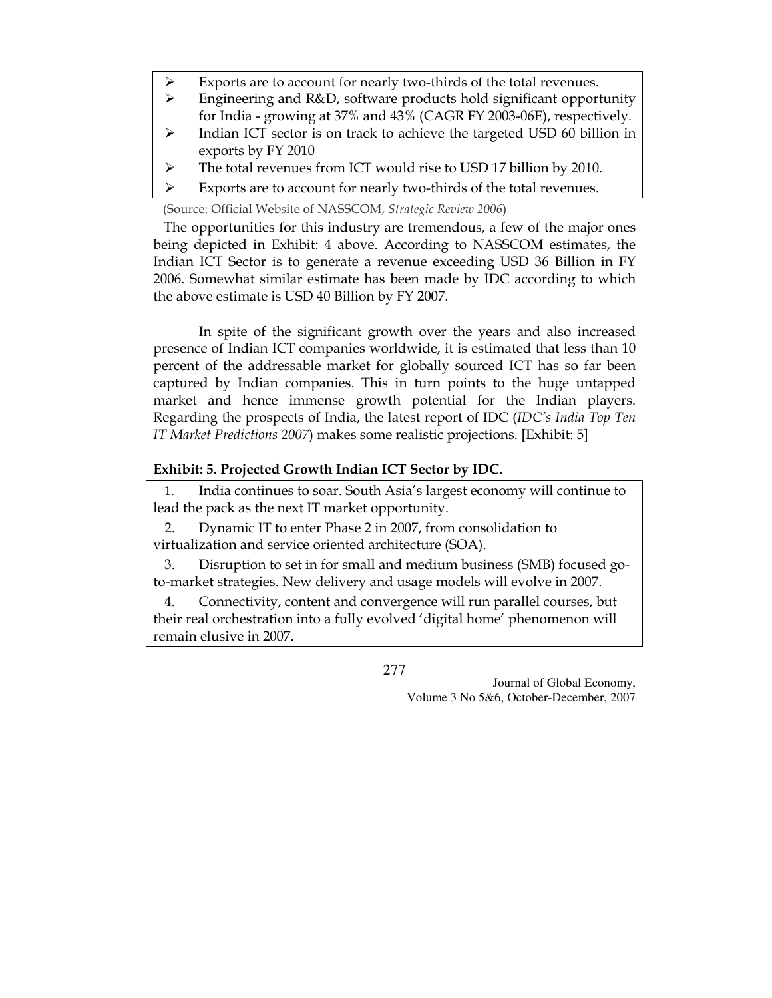- $\blacktriangleright$ Exports are to account for nearly two-thirds of the total revenues.
- $\blacktriangleright$  Engineering and R&D, software products hold significant opportunity for India - growing at 37% and 43% (CAGR FY 2003-06E), respectively.
- $\blacktriangleright$  Indian ICT sector is on track to achieve the targeted USD 60 billion in exports by FY 2010
- $\blacktriangleright$ The total revenues from ICT would rise to USD 17 billion by 2010.
- $\blacktriangleright$ Exports are to account for nearly two-thirds of the total revenues.

(Source: Official Website of NASSCOM, Strategic Review 2006)

 The opportunities for this industry are tremendous, a few of the major ones being depicted in Exhibit: 4 above. According to NASSCOM estimates, the Indian ICT Sector is to generate a revenue exceeding USD 36 Billion in FY 2006. Somewhat similar estimate has been made by IDC according to which the above estimate is USD 40 Billion by FY 2007.

In spite of the significant growth over the years and also increased presence of Indian ICT companies worldwide, it is estimated that less than 10 percent of the addressable market for globally sourced ICT has so far been captured by Indian companies. This in turn points to the huge untapped market and hence immense growth potential for the Indian players. Regarding the prospects of India, the latest report of IDC (IDC's India Top Ten IT Market Predictions 2007) makes some realistic projections. [Exhibit: 5]

# Exhibit: 5. Projected Growth Indian ICT Sector by IDC.

1. India continues to soar. South Asia's largest economy will continue to lead the pack as the next IT market opportunity.

2. Dynamic IT to enter Phase 2 in 2007, from consolidation to virtualization and service oriented architecture (SOA).

3. Disruption to set in for small and medium business (SMB) focused goto-market strategies. New delivery and usage models will evolve in 2007.

4. Connectivity, content and convergence will run parallel courses, but their real orchestration into a fully evolved 'digital home' phenomenon will remain elusive in 2007.

277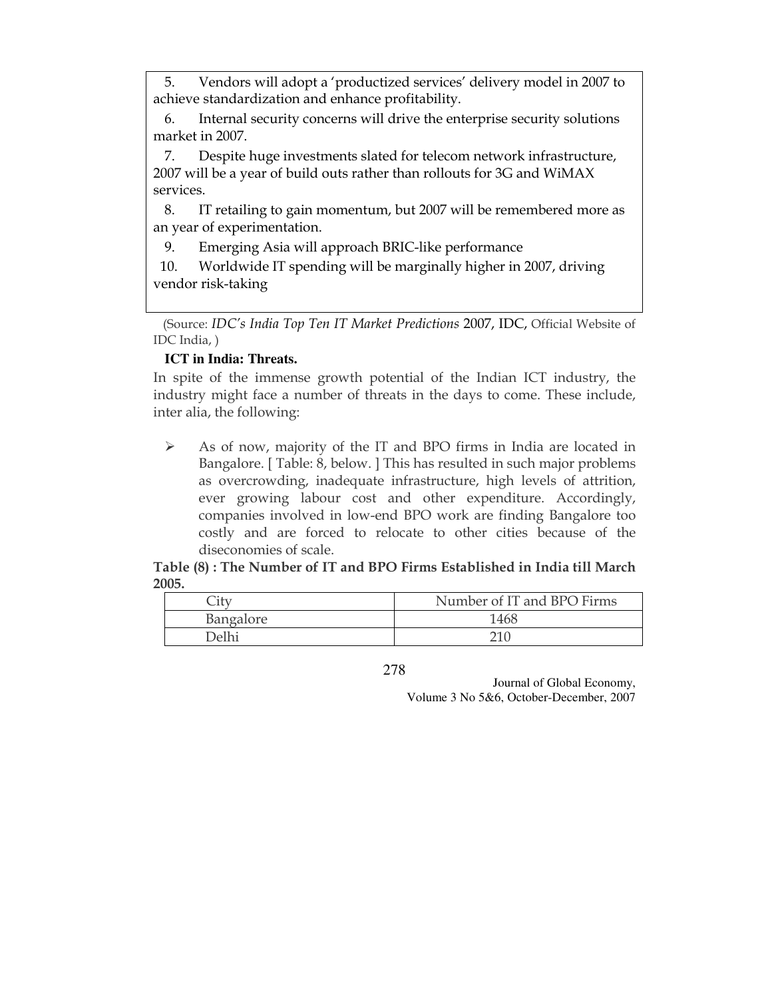5. Vendors will adopt a 'productized services' delivery model in 2007 to achieve standardization and enhance profitability.

6. Internal security concerns will drive the enterprise security solutions market in 2007.

7. Despite huge investments slated for telecom network infrastructure, 2007 will be a year of build outs rather than rollouts for 3G and WiMAX services.

8. IT retailing to gain momentum, but 2007 will be remembered more as an year of experimentation.

9. Emerging Asia will approach BRIC-like performance

 10. Worldwide IT spending will be marginally higher in 2007, driving vendor risk-taking

 (Source: IDC's India Top Ten IT Market Predictions 2007, IDC, Official Website of IDC India, )

# **ICT in India: Threats.**

In spite of the immense growth potential of the Indian ICT industry, the industry might face a number of threats in the days to come. These include, inter alia, the following:

 $\blacktriangleright$  As of now, majority of the IT and BPO firms in India are located in Bangalore. [ Table: 8, below. ] This has resulted in such major problems as overcrowding, inadequate infrastructure, high levels of attrition, ever growing labour cost and other expenditure. Accordingly, companies involved in low-end BPO work are finding Bangalore too costly and are forced to relocate to other cities because of the diseconomies of scale.

Table (8) : The Number of IT and BPO Firms Established in India till March 2005.

|           | Number of IT and BPO Firms |
|-----------|----------------------------|
| Bangalore | 1468                       |
| Delhi     |                            |

<sup>278</sup>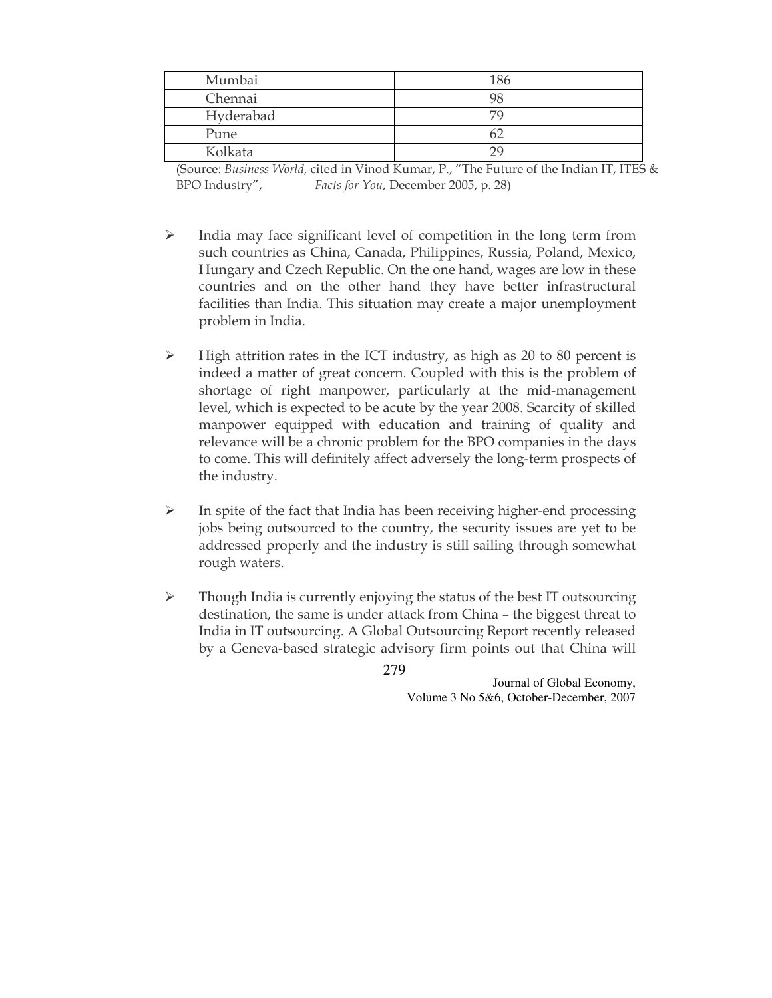| Mumbai    | 186 |
|-----------|-----|
| Chennai   |     |
| Hyderabad |     |
| Pune      |     |
| Kolkata   |     |

(Source: Business World, cited in Vinod Kumar, P., "The Future of the Indian IT, ITES & BPO Industry", Facts for You, December 2005, p. 28)

- $\blacktriangleright$  India may face significant level of competition in the long term from such countries as China, Canada, Philippines, Russia, Poland, Mexico, Hungary and Czech Republic. On the one hand, wages are low in these countries and on the other hand they have better infrastructural facilities than India. This situation may create a major unemployment problem in India.
- $\blacktriangleright$  High attrition rates in the ICT industry, as high as 20 to 80 percent is indeed a matter of great concern. Coupled with this is the problem of shortage of right manpower, particularly at the mid-management level, which is expected to be acute by the year 2008. Scarcity of skilled manpower equipped with education and training of quality and relevance will be a chronic problem for the BPO companies in the days to come. This will definitely affect adversely the long-term prospects of the industry.
- $\blacktriangleright$  In spite of the fact that India has been receiving higher-end processing jobs being outsourced to the country, the security issues are yet to be addressed properly and the industry is still sailing through somewhat rough waters.
- $\blacktriangleright$  Though India is currently enjoying the status of the best IT outsourcing destination, the same is under attack from China – the biggest threat to India in IT outsourcing. A Global Outsourcing Report recently released by a Geneva-based strategic advisory firm points out that China will

279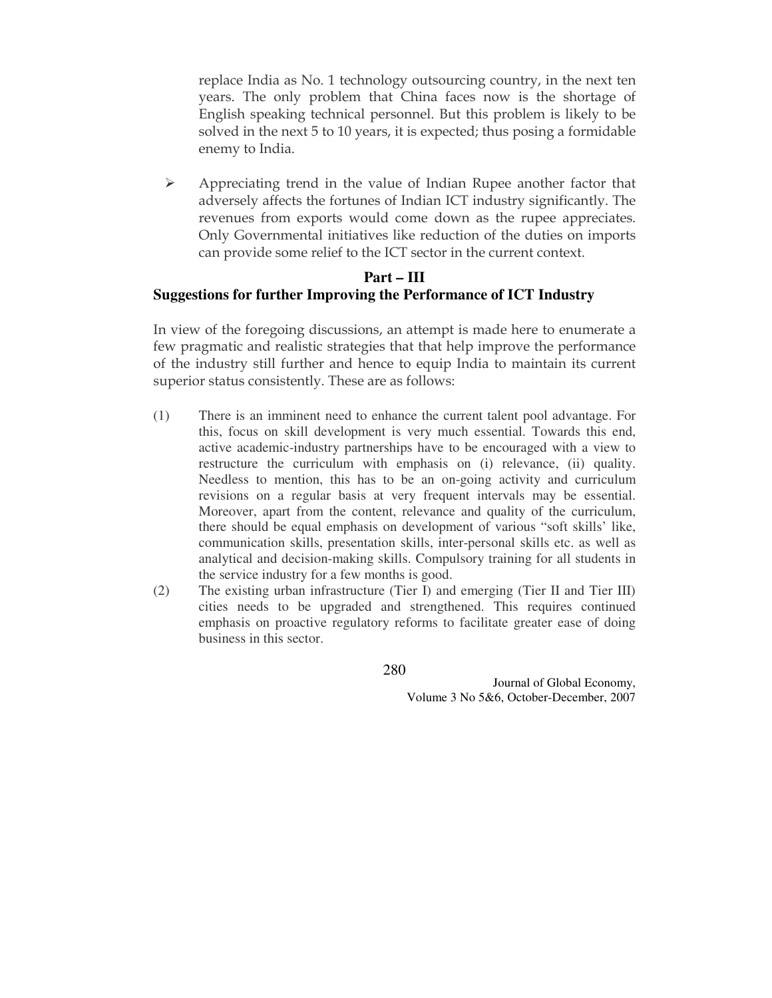replace India as No. 1 technology outsourcing country, in the next ten years. The only problem that China faces now is the shortage of English speaking technical personnel. But this problem is likely to be solved in the next 5 to 10 years, it is expected; thus posing a formidable enemy to India.

 $\blacktriangleright$  Appreciating trend in the value of Indian Rupee another factor that adversely affects the fortunes of Indian ICT industry significantly. The revenues from exports would come down as the rupee appreciates. Only Governmental initiatives like reduction of the duties on imports can provide some relief to the ICT sector in the current context.

# **Part – III Suggestions for further Improving the Performance of ICT Industry**

In view of the foregoing discussions, an attempt is made here to enumerate a few pragmatic and realistic strategies that that help improve the performance of the industry still further and hence to equip India to maintain its current superior status consistently. These are as follows:

- (1) There is an imminent need to enhance the current talent pool advantage. For this, focus on skill development is very much essential. Towards this end, active academic-industry partnerships have to be encouraged with a view to restructure the curriculum with emphasis on (i) relevance, (ii) quality. Needless to mention, this has to be an on-going activity and curriculum revisions on a regular basis at very frequent intervals may be essential. Moreover, apart from the content, relevance and quality of the curriculum, there should be equal emphasis on development of various "soft skills' like, communication skills, presentation skills, inter-personal skills etc. as well as analytical and decision-making skills. Compulsory training for all students in the service industry for a few months is good.
- (2) The existing urban infrastructure (Tier I) and emerging (Tier II and Tier III) cities needs to be upgraded and strengthened. This requires continued emphasis on proactive regulatory reforms to facilitate greater ease of doing business in this sector.

280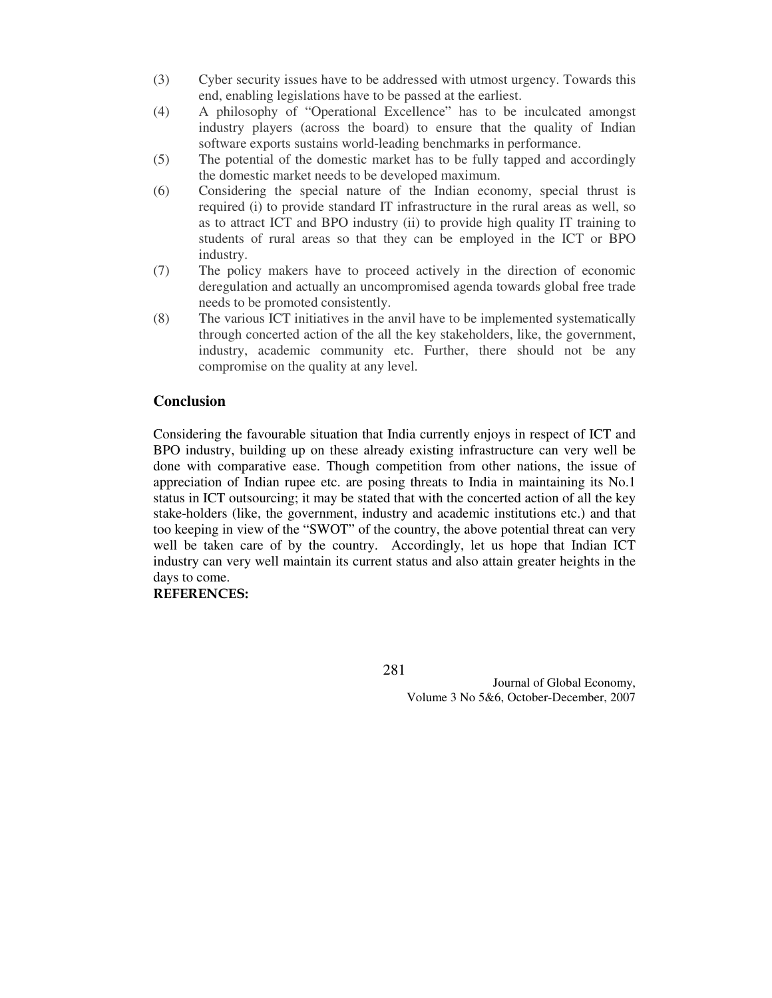- (3) Cyber security issues have to be addressed with utmost urgency. Towards this end, enabling legislations have to be passed at the earliest.
- (4) A philosophy of "Operational Excellence" has to be inculcated amongst industry players (across the board) to ensure that the quality of Indian software exports sustains world-leading benchmarks in performance.
- (5) The potential of the domestic market has to be fully tapped and accordingly the domestic market needs to be developed maximum.
- (6) Considering the special nature of the Indian economy, special thrust is required (i) to provide standard IT infrastructure in the rural areas as well, so as to attract ICT and BPO industry (ii) to provide high quality IT training to students of rural areas so that they can be employed in the ICT or BPO industry.
- (7) The policy makers have to proceed actively in the direction of economic deregulation and actually an uncompromised agenda towards global free trade needs to be promoted consistently.
- (8) The various ICT initiatives in the anvil have to be implemented systematically through concerted action of the all the key stakeholders, like, the government, industry, academic community etc. Further, there should not be any compromise on the quality at any level.

### **Conclusion**

Considering the favourable situation that India currently enjoys in respect of ICT and BPO industry, building up on these already existing infrastructure can very well be done with comparative ease. Though competition from other nations, the issue of appreciation of Indian rupee etc. are posing threats to India in maintaining its No.1 status in ICT outsourcing; it may be stated that with the concerted action of all the key stake-holders (like, the government, industry and academic institutions etc.) and that too keeping in view of the "SWOT" of the country, the above potential threat can very well be taken care of by the country. Accordingly, let us hope that Indian ICT industry can very well maintain its current status and also attain greater heights in the days to come.

### REFERENCES:

281